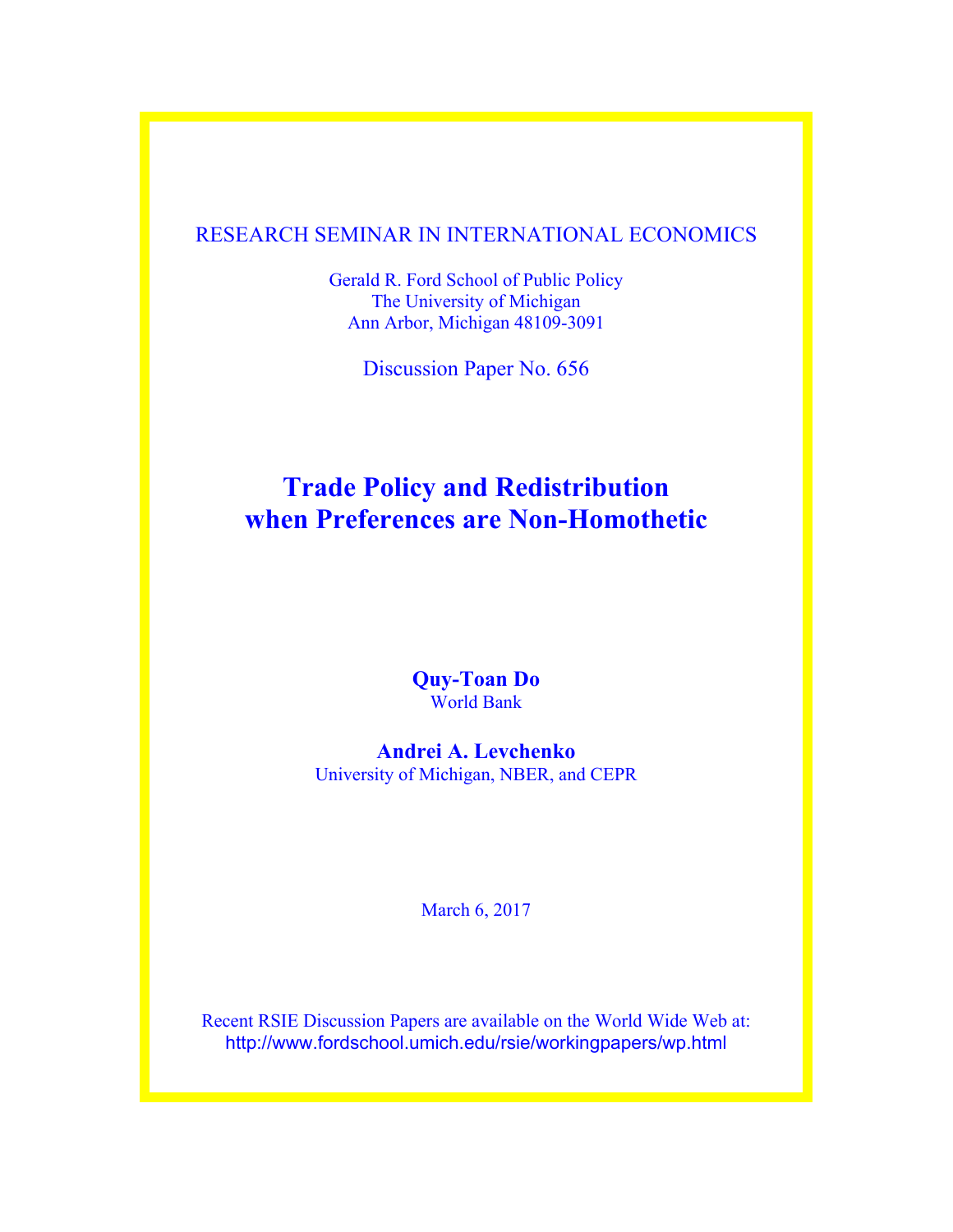# RESEARCH SEMINAR IN INTERNATIONAL ECONOMICS

Gerald R. Ford School of Public Policy The University of Michigan Ann Arbor, Michigan 48109-3091

Discussion Paper No. 656

# **Trade Policy and Redistribution when Preferences are Non-Homothetic**

**Quy-Toan Do**  World Bank

**Andrei A. Levchenko** University of Michigan, NBER, and CEPR

March 6, 2017

Recent RSIE Discussion Papers are available on the World Wide Web at: http://www.fordschool.umich.edu/rsie/workingpapers/wp.html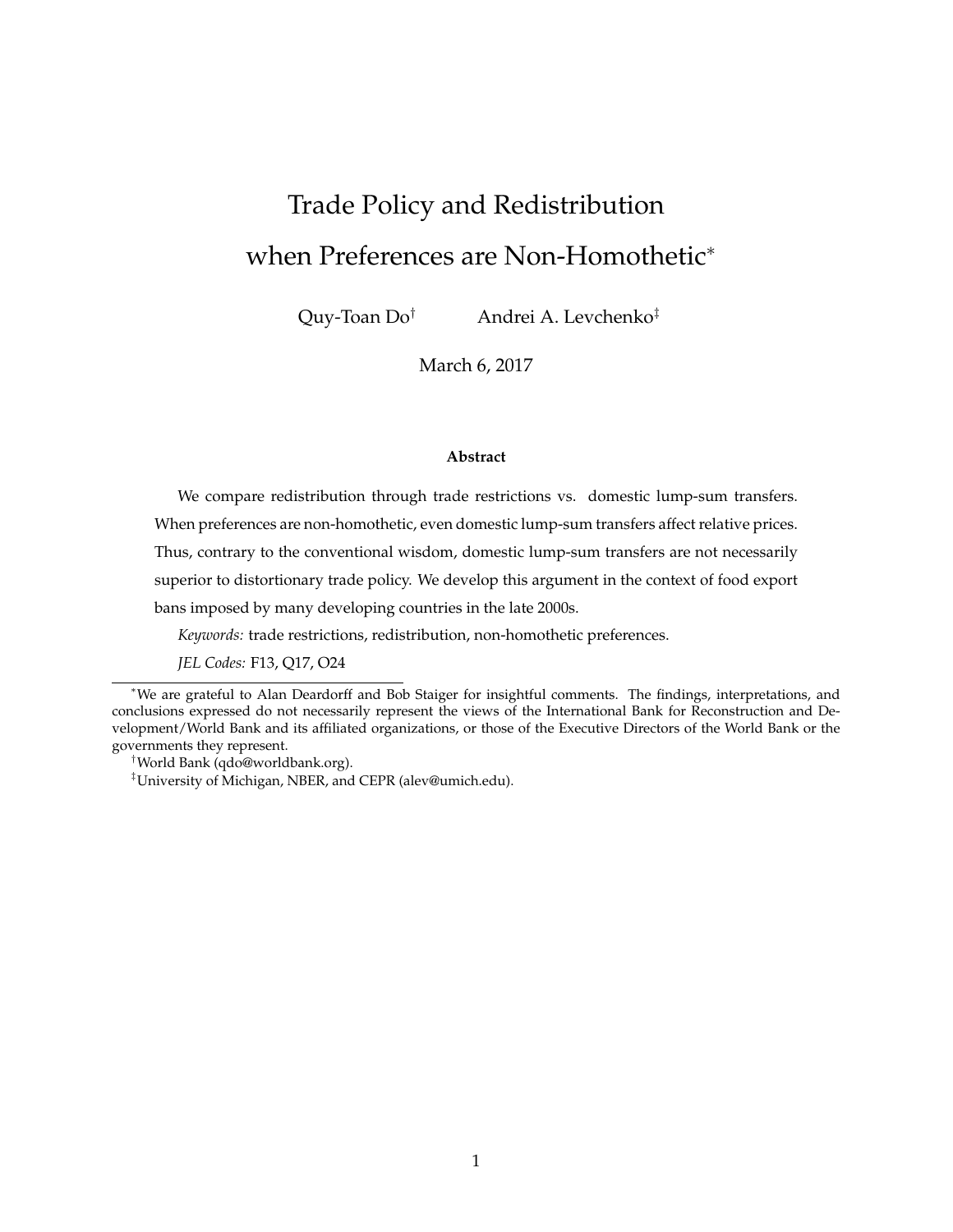# Trade Policy and Redistribution when Preferences are Non-Homothetic<sup>∗</sup>

Quy-Toan Do† Andrei A. Levchenko‡

March 6, 2017

#### **Abstract**

We compare redistribution through trade restrictions vs. domestic lump-sum transfers. When preferences are non-homothetic, even domestic lump-sum transfers affect relative prices. Thus, contrary to the conventional wisdom, domestic lump-sum transfers are not necessarily

superior to distortionary trade policy. We develop this argument in the context of food export

bans imposed by many developing countries in the late 2000s.

*Keywords:* trade restrictions, redistribution, non-homothetic preferences.

*JEL Codes:* F13, Q17, O24

†World Bank (qdo@worldbank.org).

<sup>∗</sup>We are grateful to Alan Deardorff and Bob Staiger for insightful comments. The findings, interpretations, and conclusions expressed do not necessarily represent the views of the International Bank for Reconstruction and Development/World Bank and its affiliated organizations, or those of the Executive Directors of the World Bank or the governments they represent.

<sup>‡</sup>University of Michigan, NBER, and CEPR (alev@umich.edu).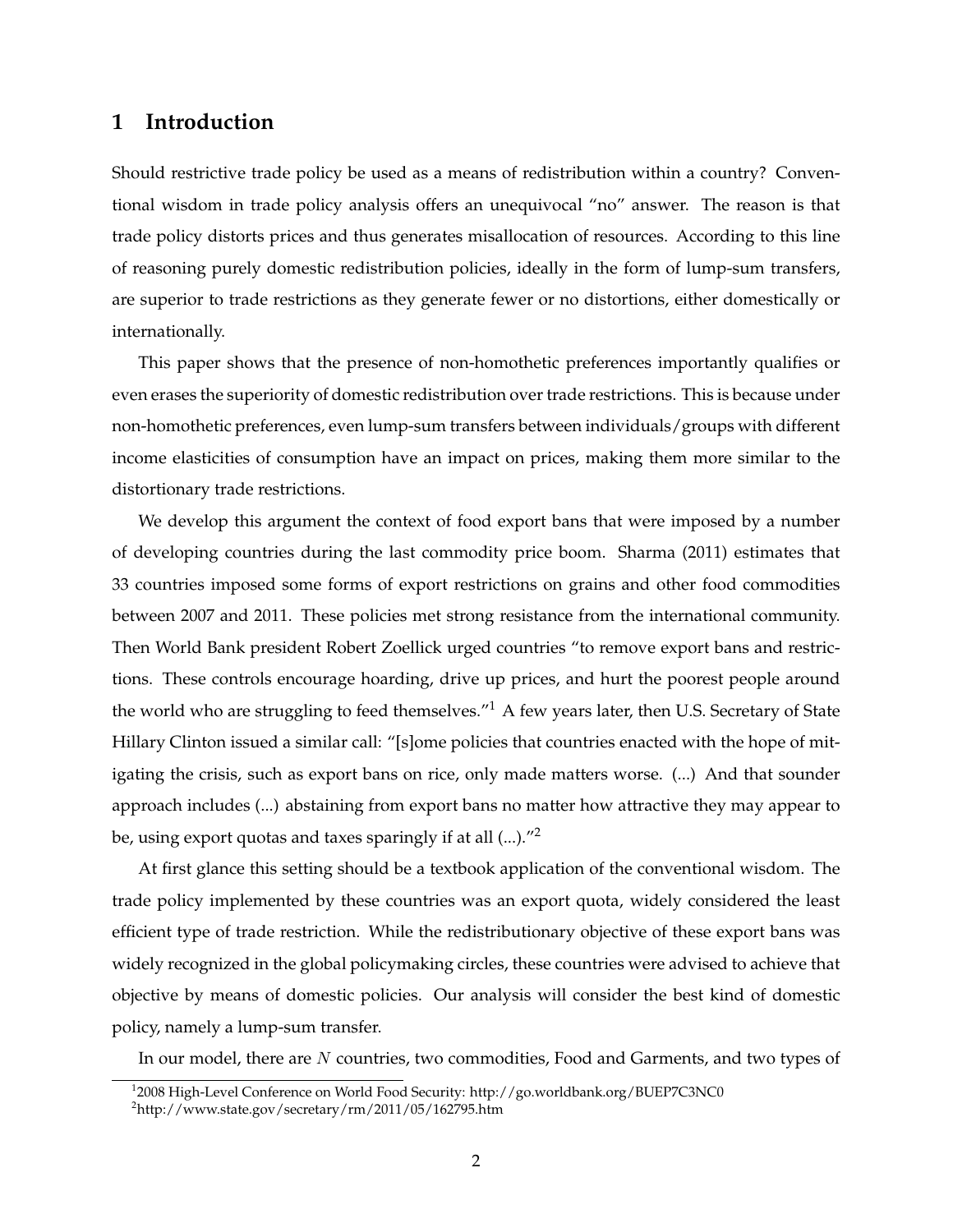# **1 Introduction**

Should restrictive trade policy be used as a means of redistribution within a country? Conventional wisdom in trade policy analysis offers an unequivocal "no" answer. The reason is that trade policy distorts prices and thus generates misallocation of resources. According to this line of reasoning purely domestic redistribution policies, ideally in the form of lump-sum transfers, are superior to trade restrictions as they generate fewer or no distortions, either domestically or internationally.

This paper shows that the presence of non-homothetic preferences importantly qualifies or even erases the superiority of domestic redistribution over trade restrictions. This is because under non-homothetic preferences, even lump-sum transfers between individuals/groups with different income elasticities of consumption have an impact on prices, making them more similar to the distortionary trade restrictions.

We develop this argument the context of food export bans that were imposed by a number of developing countries during the last commodity price boom. Sharma (2011) estimates that 33 countries imposed some forms of export restrictions on grains and other food commodities between 2007 and 2011. These policies met strong resistance from the international community. Then World Bank president Robert Zoellick urged countries "to remove export bans and restrictions. These controls encourage hoarding, drive up prices, and hurt the poorest people around the world who are struggling to feed themselves."<sup>1</sup> A few years later, then U.S. Secretary of State Hillary Clinton issued a similar call: "[s]ome policies that countries enacted with the hope of mitigating the crisis, such as export bans on rice, only made matters worse. (...) And that sounder approach includes (...) abstaining from export bans no matter how attractive they may appear to be, using export quotas and taxes sparingly if at all (...)."<sup>2</sup>

At first glance this setting should be a textbook application of the conventional wisdom. The trade policy implemented by these countries was an export quota, widely considered the least efficient type of trade restriction. While the redistributionary objective of these export bans was widely recognized in the global policymaking circles, these countries were advised to achieve that objective by means of domestic policies. Our analysis will consider the best kind of domestic policy, namely a lump-sum transfer.

In our model, there are N countries, two commodities, Food and Garments, and two types of

<sup>&</sup>lt;sup>1</sup>2008 High-Level Conference on World Food Security: http://go.worldbank.org/BUEP7C3NC0

 $^{2}$ http://www.state.gov/secretary/rm/2011/05/162795.htm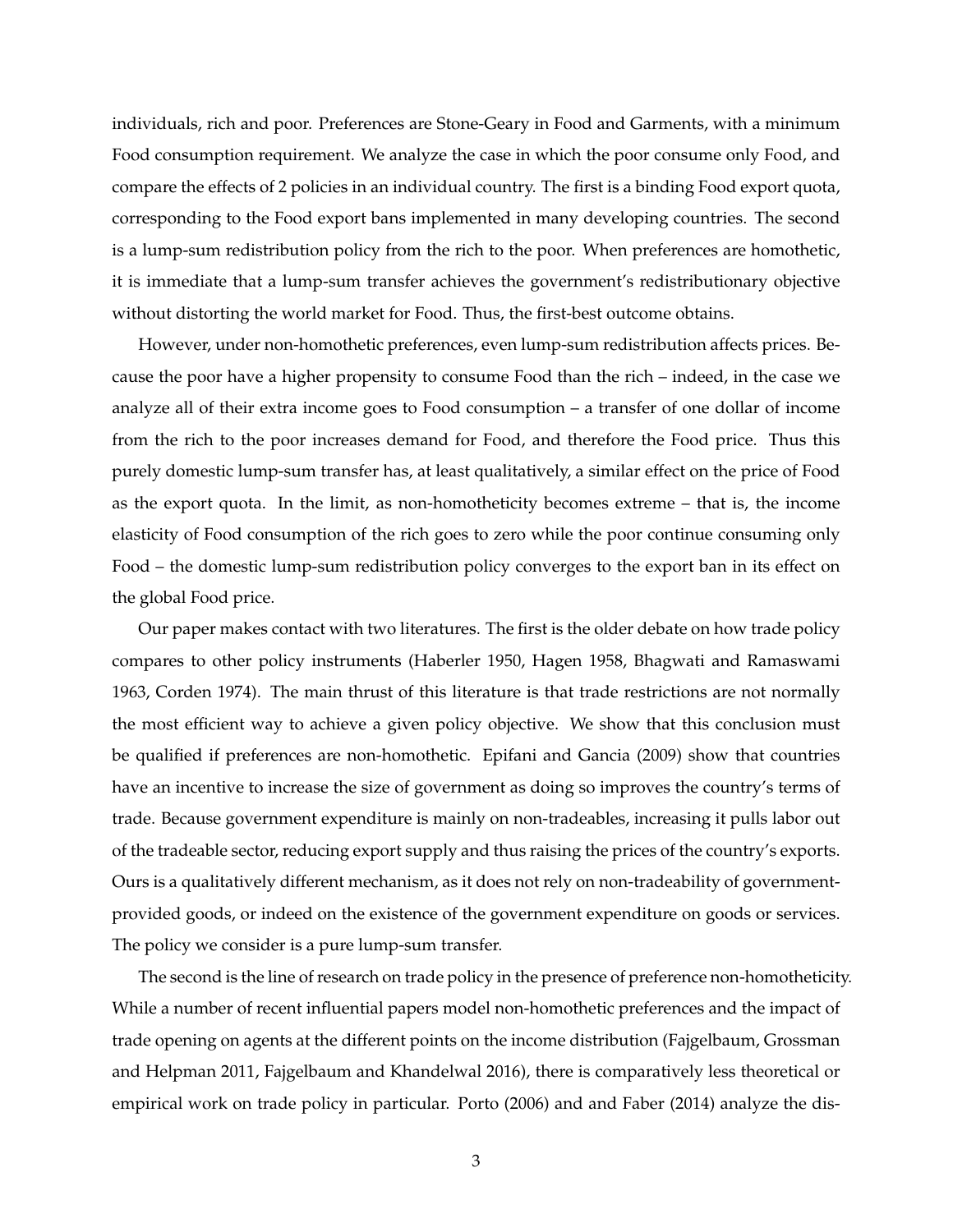individuals, rich and poor. Preferences are Stone-Geary in Food and Garments, with a minimum Food consumption requirement. We analyze the case in which the poor consume only Food, and compare the effects of 2 policies in an individual country. The first is a binding Food export quota, corresponding to the Food export bans implemented in many developing countries. The second is a lump-sum redistribution policy from the rich to the poor. When preferences are homothetic, it is immediate that a lump-sum transfer achieves the government's redistributionary objective without distorting the world market for Food. Thus, the first-best outcome obtains.

However, under non-homothetic preferences, even lump-sum redistribution affects prices. Because the poor have a higher propensity to consume Food than the rich – indeed, in the case we analyze all of their extra income goes to Food consumption – a transfer of one dollar of income from the rich to the poor increases demand for Food, and therefore the Food price. Thus this purely domestic lump-sum transfer has, at least qualitatively, a similar effect on the price of Food as the export quota. In the limit, as non-homotheticity becomes extreme – that is, the income elasticity of Food consumption of the rich goes to zero while the poor continue consuming only Food – the domestic lump-sum redistribution policy converges to the export ban in its effect on the global Food price.

Our paper makes contact with two literatures. The first is the older debate on how trade policy compares to other policy instruments (Haberler 1950, Hagen 1958, Bhagwati and Ramaswami 1963, Corden 1974). The main thrust of this literature is that trade restrictions are not normally the most efficient way to achieve a given policy objective. We show that this conclusion must be qualified if preferences are non-homothetic. Epifani and Gancia (2009) show that countries have an incentive to increase the size of government as doing so improves the country's terms of trade. Because government expenditure is mainly on non-tradeables, increasing it pulls labor out of the tradeable sector, reducing export supply and thus raising the prices of the country's exports. Ours is a qualitatively different mechanism, as it does not rely on non-tradeability of governmentprovided goods, or indeed on the existence of the government expenditure on goods or services. The policy we consider is a pure lump-sum transfer.

The second is the line of research on trade policy in the presence of preference non-homotheticity. While a number of recent influential papers model non-homothetic preferences and the impact of trade opening on agents at the different points on the income distribution (Fajgelbaum, Grossman and Helpman 2011, Fajgelbaum and Khandelwal 2016), there is comparatively less theoretical or empirical work on trade policy in particular. Porto (2006) and and Faber (2014) analyze the dis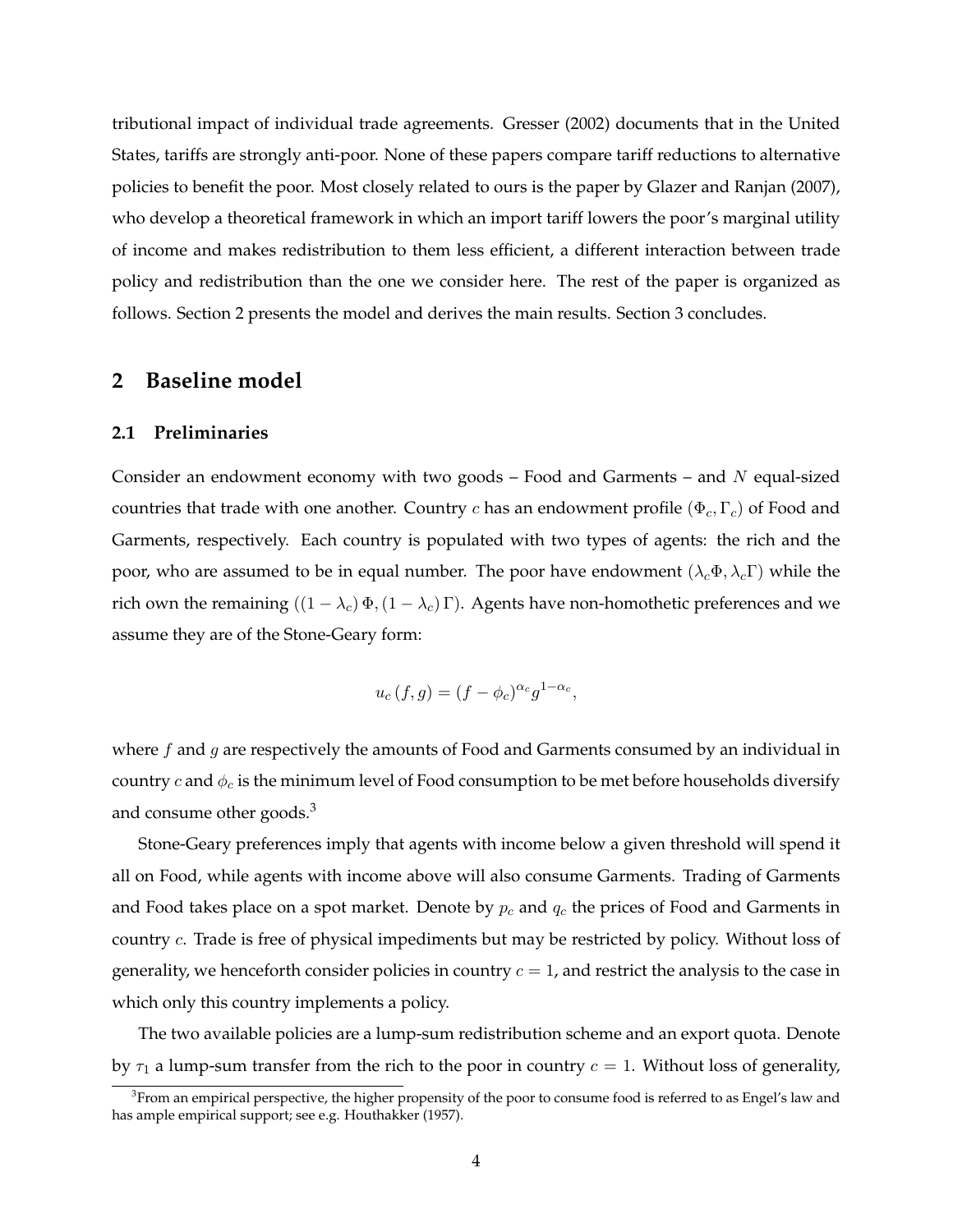tributional impact of individual trade agreements. Gresser (2002) documents that in the United States, tariffs are strongly anti-poor. None of these papers compare tariff reductions to alternative policies to benefit the poor. Most closely related to ours is the paper by Glazer and Ranjan (2007), who develop a theoretical framework in which an import tariff lowers the poor's marginal utility of income and makes redistribution to them less efficient, a different interaction between trade policy and redistribution than the one we consider here. The rest of the paper is organized as follows. Section 2 presents the model and derives the main results. Section 3 concludes.

# **2 Baseline model**

#### **2.1 Preliminaries**

Consider an endowment economy with two goods  $-$  Food and Garments  $-$  and  $N$  equal-sized countries that trade with one another. Country c has an endowment profile ( $\Phi_c, \Gamma_c$ ) of Food and Garments, respectively. Each country is populated with two types of agents: the rich and the poor, who are assumed to be in equal number. The poor have endowment  $(\lambda_c \Phi, \lambda_c \Gamma)$  while the rich own the remaining  $((1 - \lambda_c) \Phi, (1 - \lambda_c) \Gamma)$ . Agents have non-homothetic preferences and we assume they are of the Stone-Geary form:

$$
u_c(f,g) = (f - \phi_c)^{\alpha_c} g^{1 - \alpha_c},
$$

where  $f$  and  $g$  are respectively the amounts of Food and Garments consumed by an individual in country c and  $\phi_c$  is the minimum level of Food consumption to be met before households diversify and consume other goods.<sup>3</sup>

Stone-Geary preferences imply that agents with income below a given threshold will spend it all on Food, while agents with income above will also consume Garments. Trading of Garments and Food takes place on a spot market. Denote by  $p_c$  and  $q_c$  the prices of Food and Garments in country c. Trade is free of physical impediments but may be restricted by policy. Without loss of generality, we henceforth consider policies in country  $c = 1$ , and restrict the analysis to the case in which only this country implements a policy.

The two available policies are a lump-sum redistribution scheme and an export quota. Denote by  $\tau_1$  a lump-sum transfer from the rich to the poor in country  $c = 1$ . Without loss of generality,

 $3$ From an empirical perspective, the higher propensity of the poor to consume food is referred to as Engel's law and has ample empirical support; see e.g. Houthakker (1957).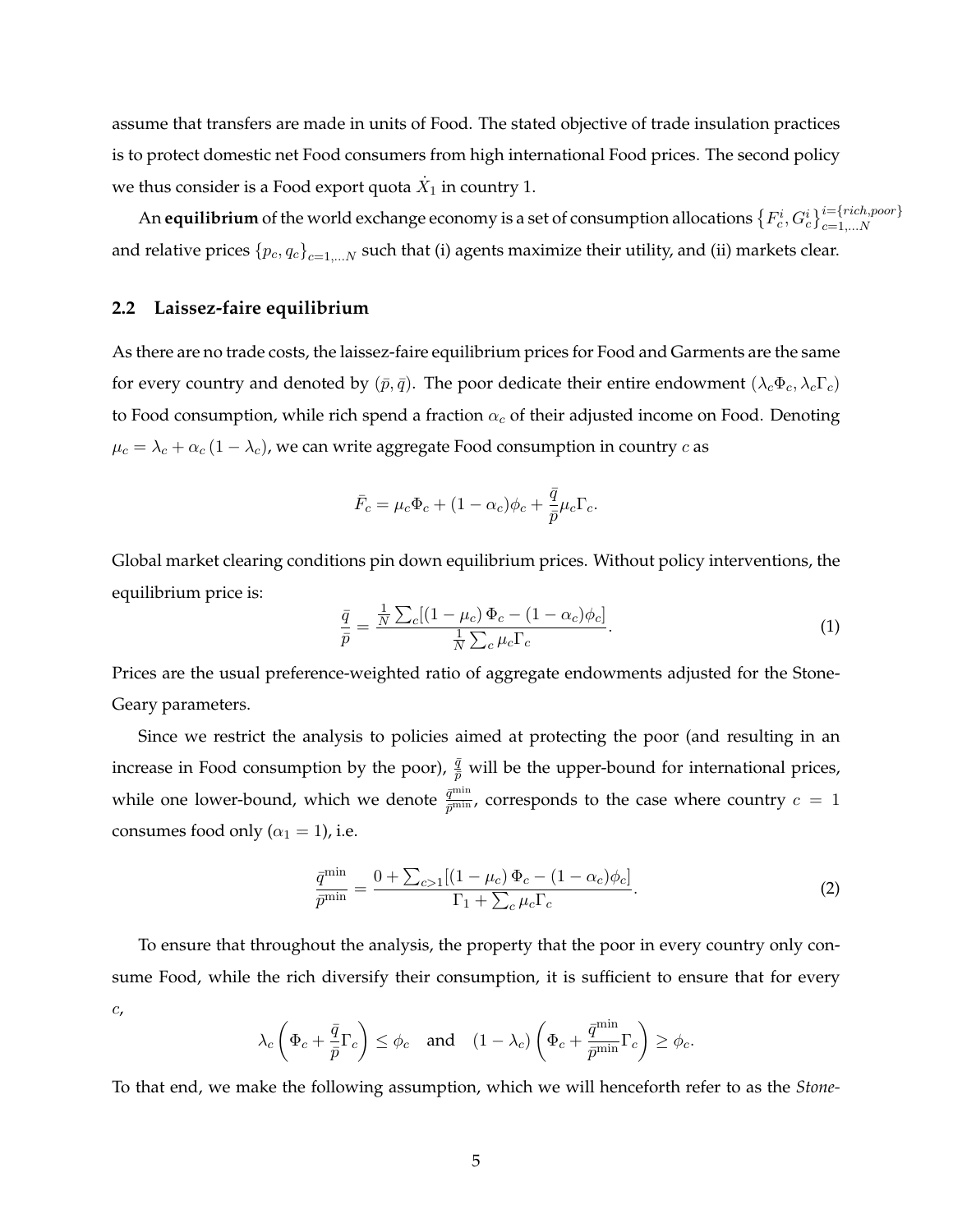assume that transfers are made in units of Food. The stated objective of trade insulation practices is to protect domestic net Food consumers from high international Food prices. The second policy we thus consider is a Food export quota  $\dot{X}_1$  in country 1.

An **equilibrium** of the world exchange economy is a set of consumption allocations  $\{F^i_c,G^i_c\}_{c=1,...N}^{i=[rich,poor\}}$ and relative prices  ${p_c, q_c}_{c=1,\dots N}$  such that (i) agents maximize their utility, and (ii) markets clear.

#### **2.2 Laissez-faire equilibrium**

As there are no trade costs, the laissez-faire equilibrium prices for Food and Garments are the same for every country and denoted by  $(\bar{p}, \bar{q})$ . The poor dedicate their entire endowment  $(\lambda_c \Phi_c, \lambda_c \Gamma_c)$ to Food consumption, while rich spend a fraction  $\alpha_c$  of their adjusted income on Food. Denoting  $\mu_c = \lambda_c + \alpha_c (1 - \lambda_c)$ , we can write aggregate Food consumption in country  $c$  as

$$
\bar{F}_c = \mu_c \Phi_c + (1 - \alpha_c)\phi_c + \frac{\bar{q}}{\bar{p}}\mu_c \Gamma_c.
$$

Global market clearing conditions pin down equilibrium prices. Without policy interventions, the equilibrium price is:

$$
\frac{\bar{q}}{\bar{p}} = \frac{\frac{1}{N} \sum_{c} [(1 - \mu_c) \Phi_c - (1 - \alpha_c) \phi_c]}{\frac{1}{N} \sum_{c} \mu_c \Gamma_c}.
$$
\n(1)

Prices are the usual preference-weighted ratio of aggregate endowments adjusted for the Stone-Geary parameters.

Since we restrict the analysis to policies aimed at protecting the poor (and resulting in an increase in Food consumption by the poor),  $\frac{\bar{q}}{\bar{p}}$  will be the upper-bound for international prices, while one lower-bound, which we denote  $\frac{\bar{q}^{\min}}{\bar{p}^{\min}}$ , corresponds to the case where country  $c\,=\,1$ consumes food only ( $\alpha_1 = 1$ ), i.e.

$$
\frac{\bar{q}^{\min}}{\bar{p}^{\min}} = \frac{0 + \sum_{c>1} [(1 - \mu_c) \Phi_c - (1 - \alpha_c) \phi_c]}{\Gamma_1 + \sum_c \mu_c \Gamma_c}.
$$
\n(2)

To ensure that throughout the analysis, the property that the poor in every country only consume Food, while the rich diversify their consumption, it is sufficient to ensure that for every c,

$$
\lambda_c \left( \Phi_c + \frac{\bar{q}}{\bar{p}} \Gamma_c \right) \le \phi_c \quad \text{and} \quad (1 - \lambda_c) \left( \Phi_c + \frac{\bar{q}^{\min}}{\bar{p}^{\min}} \Gamma_c \right) \ge \phi_c.
$$

To that end, we make the following assumption, which we will henceforth refer to as the *Stone-*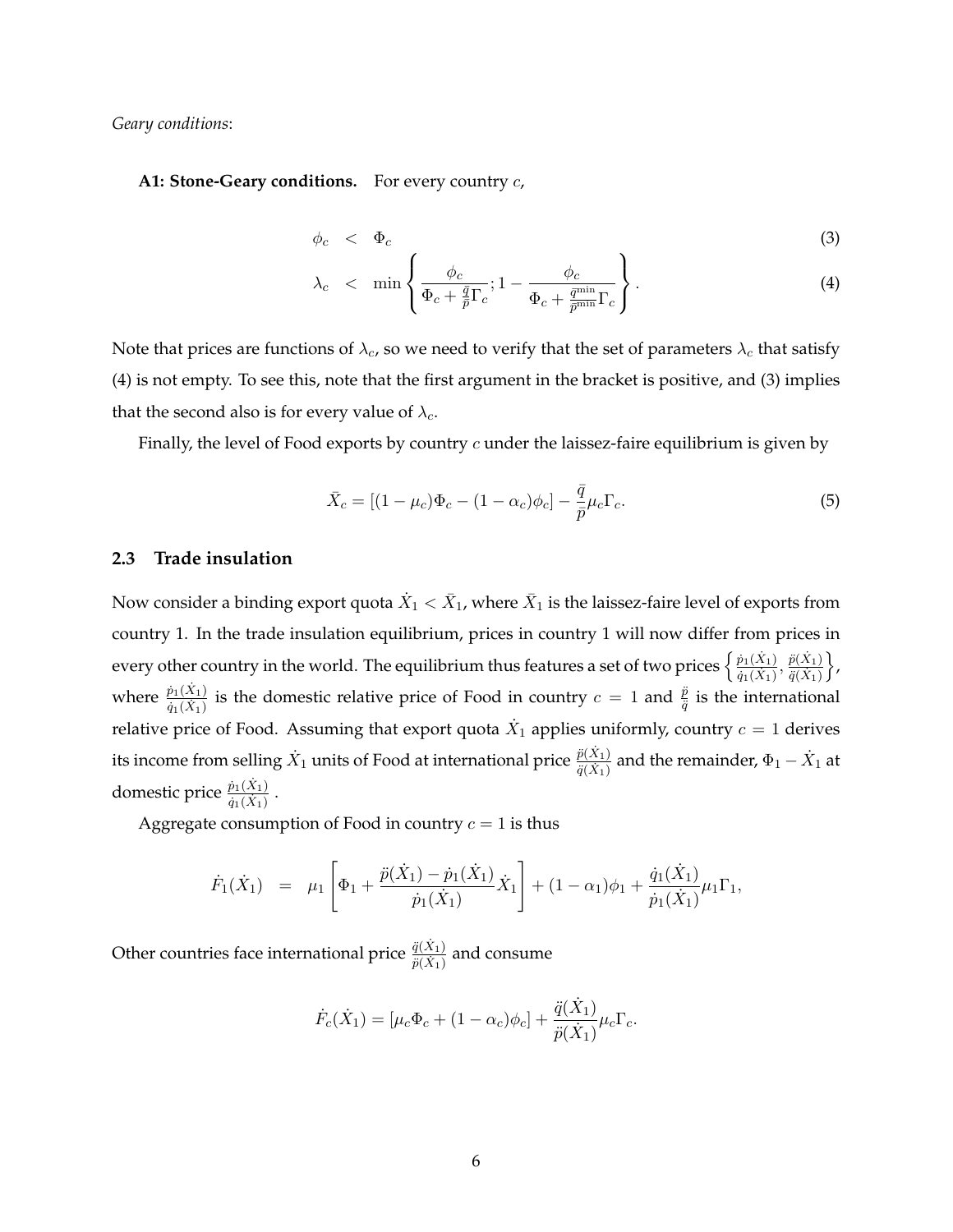*Geary conditions*:

**A1: Stone-Geary conditions.** For every country c,

$$
\phi_c \quad < \quad \Phi_c \tag{3}
$$

$$
\lambda_c \quad < \quad \min\left\{ \frac{\phi_c}{\Phi_c + \frac{\bar{q}}{\bar{p}} \Gamma_c}; 1 - \frac{\phi_c}{\Phi_c + \frac{\bar{q}^{\min}}{\bar{p}^{\min}} \Gamma_c} \right\}. \tag{4}
$$

Note that prices are functions of  $\lambda_c$ , so we need to verify that the set of parameters  $\lambda_c$  that satisfy (4) is not empty. To see this, note that the first argument in the bracket is positive, and (3) implies that the second also is for every value of  $\lambda_c$ .

Finally, the level of Food exports by country  $c$  under the laissez-faire equilibrium is given by

$$
\bar{X}_c = \left[ (1 - \mu_c)\Phi_c - (1 - \alpha_c)\phi_c \right] - \frac{\bar{q}}{\bar{p}}\mu_c\Gamma_c.
$$
\n<sup>(5)</sup>

#### **2.3 Trade insulation**

Now consider a binding export quota  $\dot X_1 < \bar X_1$ , where  $\bar X_1$  is the laissez-faire level of exports from country 1. In the trade insulation equilibrium, prices in country 1 will now differ from prices in every other country in the world. The equilibrium thus features a set of two prices  $\frac{\hat{p}_1(\hat{X}_1)}{\hat{p}_1(\hat{X}_1)}$  $\frac{\dot{p}_1(\dot{X}_1)}{\dot{q}_1(\dot{X}_1)}, \frac{\ddot{p}(\dot{X}_1)}{\ddot{q}(\dot{X}_1)}$  $\overline{\ddot{q}(X_1)}$ o , where  $\frac{\dot{p}_1(\dot{X}_1)}{\dot{q}_1(\dot{X}_1)}$  $\frac{\dot{p}_1(X_1)}{\dot{q}_1(X_1)}$  is the domestic relative price of Food in country  $c=1$  and  $\frac{\ddot{p}}{\ddot{q}}$  is the international relative price of Food. Assuming that export quota  $\dot{X}_1$  applies uniformly, country  $c=1$  derives its income from selling  $\dot{X}_1$  units of Food at international price  $\frac{\ddot{p}(\dot{X}_1)}{\ddot{p}(\dot{X}_1)}$  $\frac{\ddot{p}(X_1)}{\ddot{q}(X_1)}$  and the remainder,  $\Phi_1 - \dot{X}_1$  at domestic price  $\frac{\dot{p}_1(\dot{X}_1)}{\dot{p}_1(\dot{X}_1)}$  $\frac{p_1(x_1)}{\dot{q}_1(X_1)}$ .

Aggregate consumption of Food in country  $c = 1$  is thus

$$
\dot{F}_1(\dot{X}_1) = \mu_1 \left[ \Phi_1 + \frac{\ddot{p}(\dot{X}_1) - \dot{p}_1(\dot{X}_1)}{\dot{p}_1(\dot{X}_1)} \dot{X}_1 \right] + (1 - \alpha_1)\phi_1 + \frac{\dot{q}_1(\dot{X}_1)}{\dot{p}_1(\dot{X}_1)} \mu_1 \Gamma_1,
$$

Other countries face international price  $\frac{\ddot{q}(\dot{X}_1)}{\ddot{q}(\dot{X}_1)}$  $\frac{q(X_1)}{\ddot{p}(X_1)}$  and consume

$$
\dot{F}_c(\dot{X}_1) = [\mu_c \Phi_c + (1 - \alpha_c)\phi_c] + \frac{\ddot{q}(\dot{X}_1)}{\ddot{p}(\dot{X}_1)} \mu_c \Gamma_c.
$$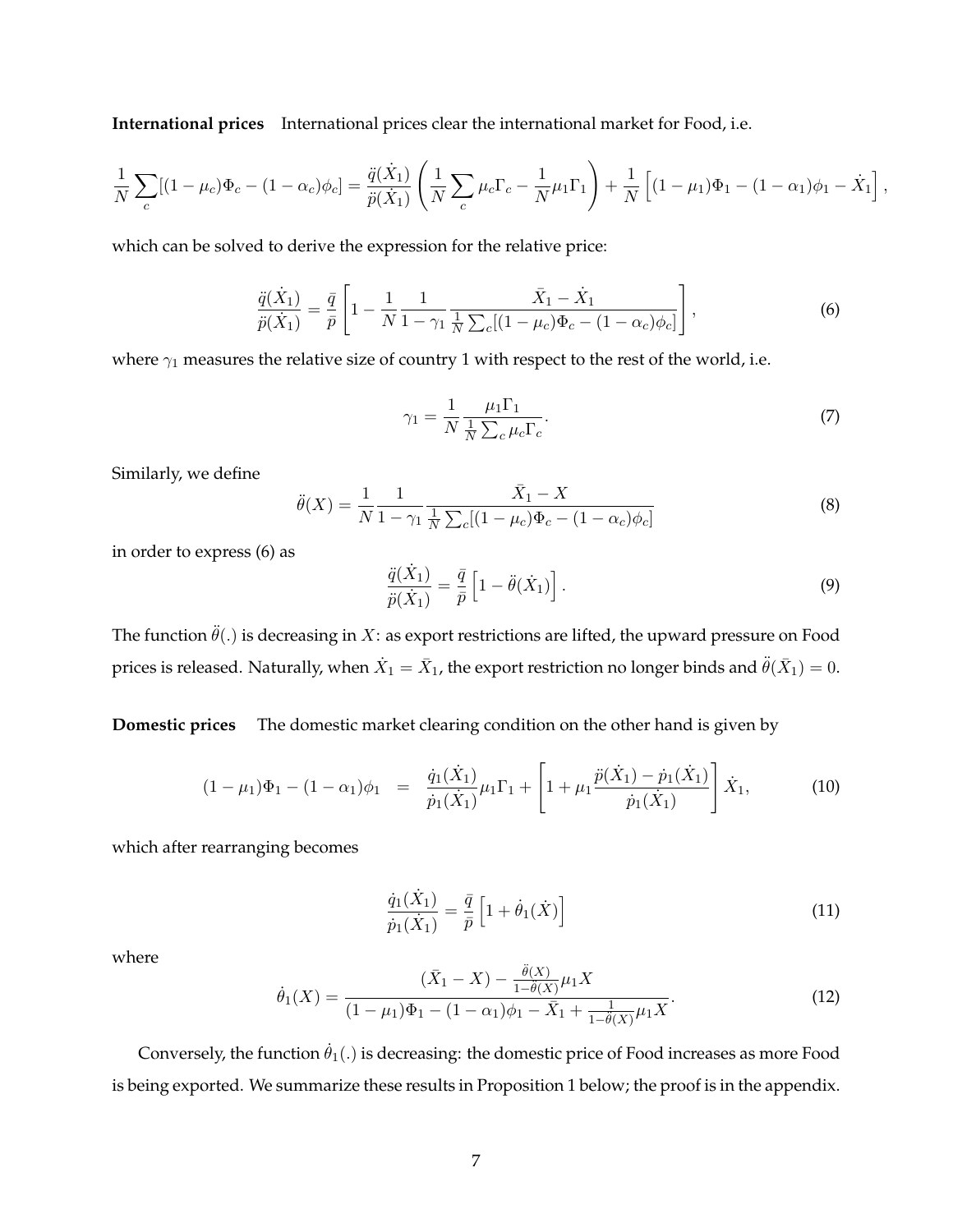**International prices** International prices clear the international market for Food, i.e.

$$
\frac{1}{N} \sum_{c} [(1 - \mu_c) \Phi_c - (1 - \alpha_c) \phi_c] = \frac{\ddot{q}(\dot{X}_1)}{\ddot{p}(\dot{X}_1)} \left( \frac{1}{N} \sum_{c} \mu_c \Gamma_c - \frac{1}{N} \mu_1 \Gamma_1 \right) + \frac{1}{N} \left[ (1 - \mu_1) \Phi_1 - (1 - \alpha_1) \phi_1 - \dot{X}_1 \right]
$$

which can be solved to derive the expression for the relative price:

$$
\frac{\ddot{q}(\dot{X}_1)}{\ddot{p}(\dot{X}_1)} = \frac{\bar{q}}{\bar{p}} \left[ 1 - \frac{1}{N} \frac{1}{1 - \gamma_1} \frac{\bar{X}_1 - \dot{X}_1}{\frac{1}{N} \sum_c [(1 - \mu_c) \Phi_c - (1 - \alpha_c) \phi_c]} \right],
$$
(6)

where  $\gamma_1$  measures the relative size of country 1 with respect to the rest of the world, i.e.

$$
\gamma_1 = \frac{1}{N} \frac{\mu_1 \Gamma_1}{\frac{1}{N} \sum_c \mu_c \Gamma_c}.
$$
\n(7)

,

Similarly, we define

$$
\ddot{\theta}(X) = \frac{1}{N} \frac{1}{1 - \gamma_1} \frac{\bar{X}_1 - X}{\frac{1}{N} \sum_{c} [(1 - \mu_c) \Phi_c - (1 - \alpha_c) \phi_c]}
$$
(8)

in order to express (6) as

$$
\frac{\ddot{q}(\dot{X}_1)}{\ddot{p}(\dot{X}_1)} = \frac{\bar{q}}{\bar{p}} \left[ 1 - \ddot{\theta}(\dot{X}_1) \right].
$$
\n(9)

The function  $\ddot{\theta}$ (.) is decreasing in X: as export restrictions are lifted, the upward pressure on Food prices is released. Naturally, when  $\dot{X}_1=\bar{X}_1$ , the export restriction no longer binds and  $\ddot{\theta}(\bar{X}_1)=0.$ 

**Domestic prices** The domestic market clearing condition on the other hand is given by

$$
(1 - \mu_1)\Phi_1 - (1 - \alpha_1)\phi_1 = \frac{\dot{q}_1(\dot{X}_1)}{\dot{p}_1(\dot{X}_1)}\mu_1\Gamma_1 + \left[1 + \mu_1\frac{\ddot{p}(\dot{X}_1) - \dot{p}_1(\dot{X}_1)}{\dot{p}_1(\dot{X}_1)}\right]\dot{X}_1,
$$
(10)

which after rearranging becomes

$$
\frac{\dot{q}_1(\dot{X}_1)}{\dot{p}_1(\dot{X}_1)} = \frac{\bar{q}}{\bar{p}} \left[ 1 + \dot{\theta}_1(\dot{X}) \right]
$$
\n(11)

where

$$
\dot{\theta}_1(X) = \frac{(\bar{X}_1 - X) - \frac{\ddot{\theta}(X)}{1 - \ddot{\theta}(X)} \mu_1 X}{(1 - \mu_1)\Phi_1 - (1 - \alpha_1)\phi_1 - \bar{X}_1 + \frac{1}{1 - \ddot{\theta}(X)}\mu_1 X}.
$$
\n(12)

Conversely, the function  $\dot{\theta}_1(.)$  is decreasing: the domestic price of Food increases as more Food is being exported. We summarize these results in Proposition 1 below; the proof is in the appendix.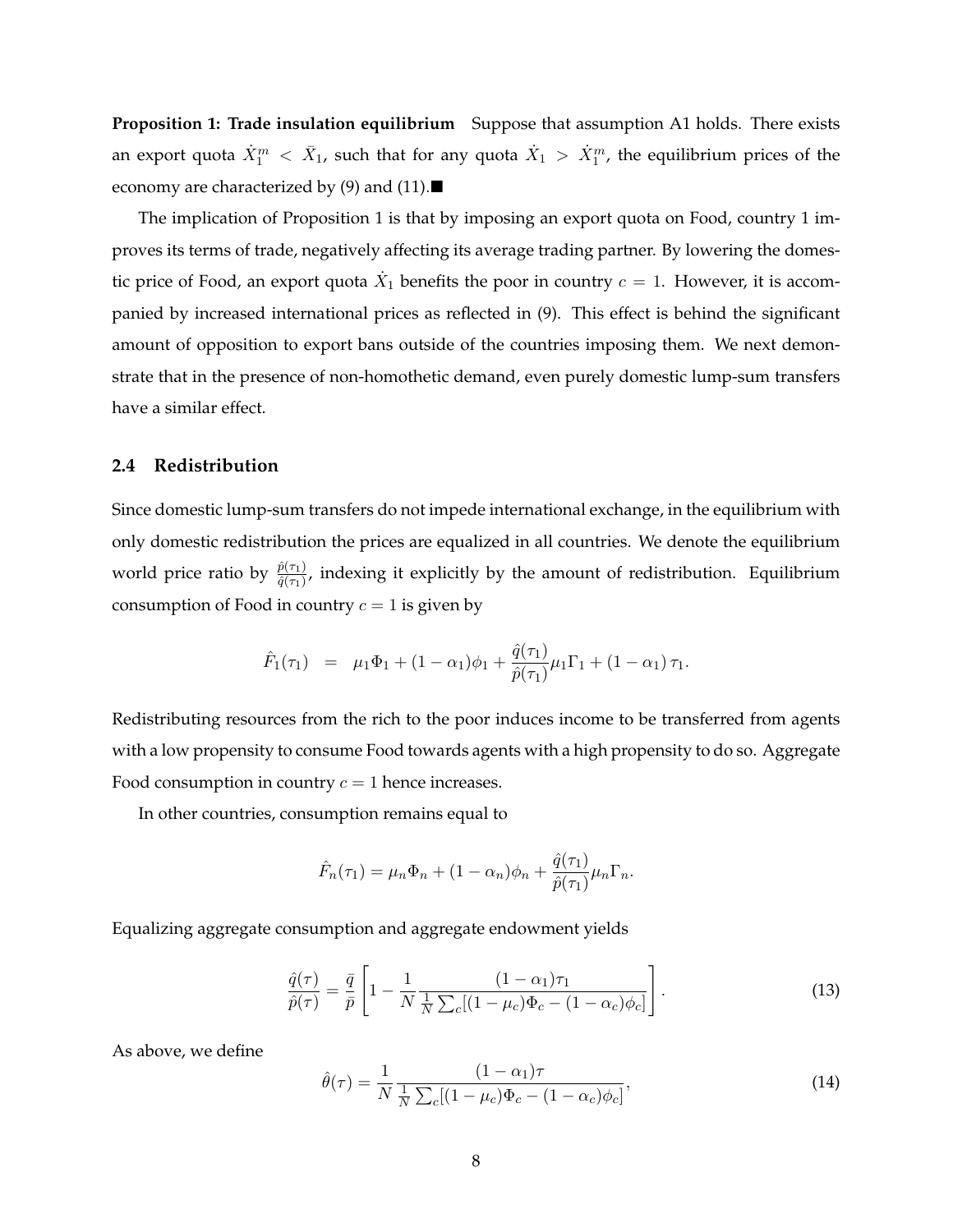**Proposition 1: Trade insulation equilibrium** Suppose that assumption A1 holds. There exists an export quota  $\dot{X}_1^m < \bar{X}_1$ , such that for any quota  $\dot{X}_1 > \dot{X}_1^m$ , the equilibrium prices of the economy are characterized by (9) and (11).

The implication of Proposition 1 is that by imposing an export quota on Food, country 1 improves its terms of trade, negatively affecting its average trading partner. By lowering the domestic price of Food, an export quota  $\dot{X}_1$  benefits the poor in country  $c=1$ . However, it is accompanied by increased international prices as reflected in (9). This effect is behind the significant amount of opposition to export bans outside of the countries imposing them. We next demonstrate that in the presence of non-homothetic demand, even purely domestic lump-sum transfers have a similar effect.

#### **2.4 Redistribution**

Since domestic lump-sum transfers do not impede international exchange, in the equilibrium with only domestic redistribution the prices are equalized in all countries. We denote the equilibrium world price ratio by  $\frac{\hat{p}(\tau_1)}{\hat{q}(\tau_1)}$ , indexing it explicitly by the amount of redistribution. Equilibrium consumption of Food in country  $c = 1$  is given by

$$
\hat{F}_1(\tau_1) = \mu_1 \Phi_1 + (1 - \alpha_1)\phi_1 + \frac{\hat{q}(\tau_1)}{\hat{p}(\tau_1)}\mu_1 \Gamma_1 + (1 - \alpha_1)\tau_1.
$$

Redistributing resources from the rich to the poor induces income to be transferred from agents with a low propensity to consume Food towards agents with a high propensity to do so. Aggregate Food consumption in country  $c = 1$  hence increases.

In other countries, consumption remains equal to

$$
\hat{F}_n(\tau_1) = \mu_n \Phi_n + (1 - \alpha_n)\phi_n + \frac{\hat{q}(\tau_1)}{\hat{p}(\tau_1)}\mu_n \Gamma_n.
$$

Equalizing aggregate consumption and aggregate endowment yields

$$
\frac{\hat{q}(\tau)}{\hat{p}(\tau)} = \frac{\bar{q}}{\bar{p}} \left[ 1 - \frac{1}{N} \frac{(1 - \alpha_1)\tau_1}{\frac{1}{N} \sum_c [(1 - \mu_c)\Phi_c - (1 - \alpha_c)\phi_c]} \right].
$$
\n(13)

As above, we define

$$
\hat{\theta}(\tau) = \frac{1}{N} \frac{(1 - \alpha_1)\tau}{\frac{1}{N} \sum_{c} [(1 - \mu_c)\Phi_c - (1 - \alpha_c)\phi_c]},
$$
\n(14)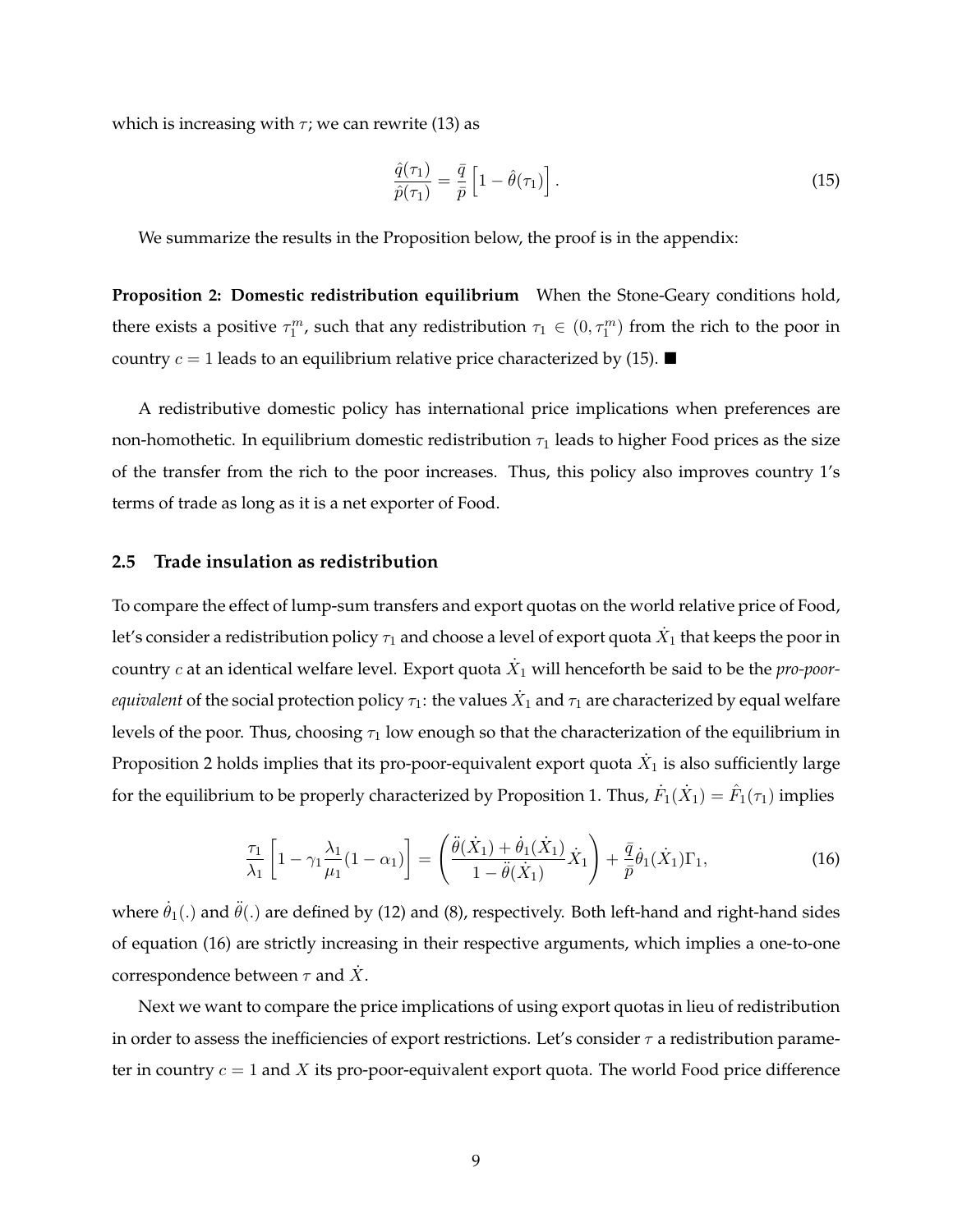which is increasing with  $\tau$ ; we can rewrite (13) as

$$
\frac{\hat{q}(\tau_1)}{\hat{p}(\tau_1)} = \frac{\bar{q}}{\bar{p}} \left[ 1 - \hat{\theta}(\tau_1) \right].
$$
\n(15)

We summarize the results in the Proposition below, the proof is in the appendix:

**Proposition 2: Domestic redistribution equilibrium** When the Stone-Geary conditions hold, there exists a positive  $\tau_1^m$ , such that any redistribution  $\tau_1 \in (0, \tau_1^m)$  from the rich to the poor in country  $c = 1$  leads to an equilibrium relative price characterized by (15).

A redistributive domestic policy has international price implications when preferences are non-homothetic. In equilibrium domestic redistribution  $\tau_1$  leads to higher Food prices as the size of the transfer from the rich to the poor increases. Thus, this policy also improves country 1's terms of trade as long as it is a net exporter of Food.

#### **2.5 Trade insulation as redistribution**

To compare the effect of lump-sum transfers and export quotas on the world relative price of Food, let's consider a redistribution policy  $\tau_1$  and choose a level of export quota  $\dot{X}_1$  that keeps the poor in country  $c$  at an identical welfare level. Export quota  $\dot{X}_1$  will henceforth be said to be the  $\emph{pro-poor-}$ *equivalent* of the social protection policy  $\tau_1$ : the values  $\dot{X}_1$  and  $\tau_1$  are characterized by equal welfare levels of the poor. Thus, choosing  $\tau_1$  low enough so that the characterization of the equilibrium in Proposition 2 holds implies that its pro-poor-equivalent export quota  $\dot{X}_1$  is also sufficiently large for the equilibrium to be properly characterized by Proposition 1. Thus,  $\dot{F}_1(\dot{X}_1)=\hat{F}_1(\tau_1)$  implies

$$
\frac{\tau_1}{\lambda_1} \left[ 1 - \gamma_1 \frac{\lambda_1}{\mu_1} (1 - \alpha_1) \right] = \left( \frac{\ddot{\theta}(\dot{X}_1) + \dot{\theta}_1(\dot{X}_1)}{1 - \ddot{\theta}(\dot{X}_1)} \dot{X}_1 \right) + \frac{\bar{q}}{\bar{p}} \dot{\theta}_1(\dot{X}_1) \Gamma_1,\tag{16}
$$

where  $\dot{\theta}_1(.)$  and  $\ddot{\theta}(.)$  are defined by (12) and (8), respectively. Both left-hand and right-hand sides of equation (16) are strictly increasing in their respective arguments, which implies a one-to-one correspondence between  $\tau$  and  $\dot{X}.$ 

Next we want to compare the price implications of using export quotas in lieu of redistribution in order to assess the inefficiencies of export restrictions. Let's consider  $\tau$  a redistribution parameter in country  $c = 1$  and X its pro-poor-equivalent export quota. The world Food price difference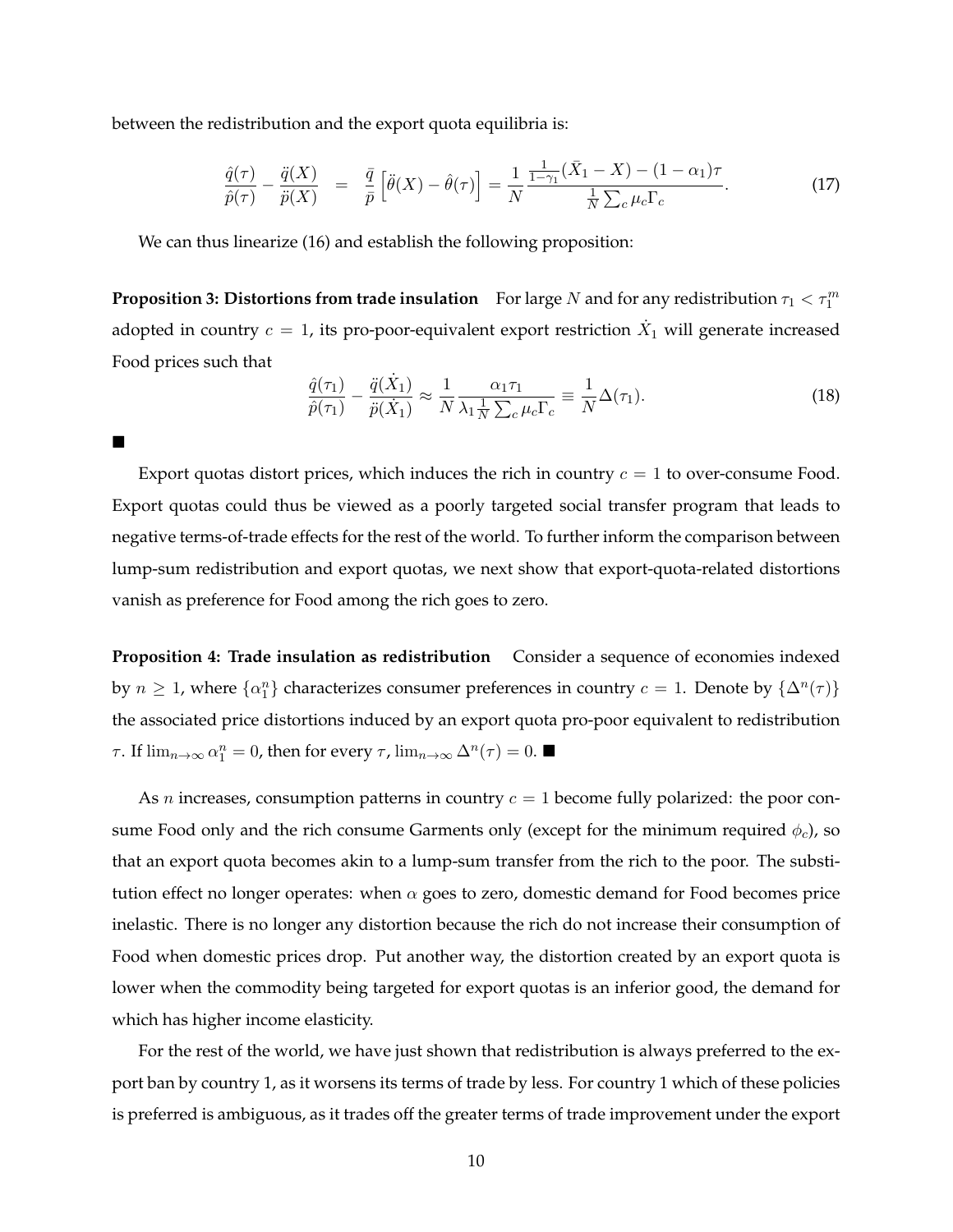between the redistribution and the export quota equilibria is:

 $\blacksquare$ 

$$
\frac{\hat{q}(\tau)}{\hat{p}(\tau)} - \frac{\ddot{q}(X)}{\ddot{p}(X)} = \frac{\bar{q}}{\bar{p}} \left[ \ddot{\theta}(X) - \hat{\theta}(\tau) \right] = \frac{1}{N} \frac{\frac{1}{1 - \gamma_1} (\bar{X}_1 - X) - (1 - \alpha_1) \tau}{\frac{1}{N} \sum_c \mu_c \Gamma_c}.
$$
\n(17)

We can thus linearize (16) and establish the following proposition:

**Proposition 3: Distortions from trade insulation** For large  $N$  and for any redistribution  $\tau_1 < \tau_1^m$ adopted in country  $c=1$ , its pro-poor-equivalent export restriction  $\dot{X}_1$  will generate increased Food prices such that

$$
\frac{\hat{q}(\tau_1)}{\hat{p}(\tau_1)} - \frac{\ddot{q}(\dot{X}_1)}{\ddot{p}(\dot{X}_1)} \approx \frac{1}{N} \frac{\alpha_1 \tau_1}{\lambda_1 \frac{1}{N} \sum_c \mu_c \Gamma_c} \equiv \frac{1}{N} \Delta(\tau_1).
$$
\n(18)

Export quotas distort prices, which induces the rich in country  $c = 1$  to over-consume Food. Export quotas could thus be viewed as a poorly targeted social transfer program that leads to negative terms-of-trade effects for the rest of the world. To further inform the comparison between lump-sum redistribution and export quotas, we next show that export-quota-related distortions vanish as preference for Food among the rich goes to zero.

**Proposition 4: Trade insulation as redistribution** Consider a sequence of economies indexed by  $n \geq 1$ , where  $\{\alpha_1^n\}$  characterizes consumer preferences in country  $c = 1$ . Denote by  $\{\Delta^n(\tau)\}$ the associated price distortions induced by an export quota pro-poor equivalent to redistribution *τ*. If  $\lim_{n\to\infty} \alpha_1^n = 0$ , then for every *τ*,  $\lim_{n\to\infty} \Delta^n(\tau) = 0$ . ■

As *n* increases, consumption patterns in country  $c = 1$  become fully polarized: the poor consume Food only and the rich consume Garments only (except for the minimum required  $\phi_c$ ), so that an export quota becomes akin to a lump-sum transfer from the rich to the poor. The substitution effect no longer operates: when  $\alpha$  goes to zero, domestic demand for Food becomes price inelastic. There is no longer any distortion because the rich do not increase their consumption of Food when domestic prices drop. Put another way, the distortion created by an export quota is lower when the commodity being targeted for export quotas is an inferior good, the demand for which has higher income elasticity.

For the rest of the world, we have just shown that redistribution is always preferred to the export ban by country 1, as it worsens its terms of trade by less. For country 1 which of these policies is preferred is ambiguous, as it trades off the greater terms of trade improvement under the export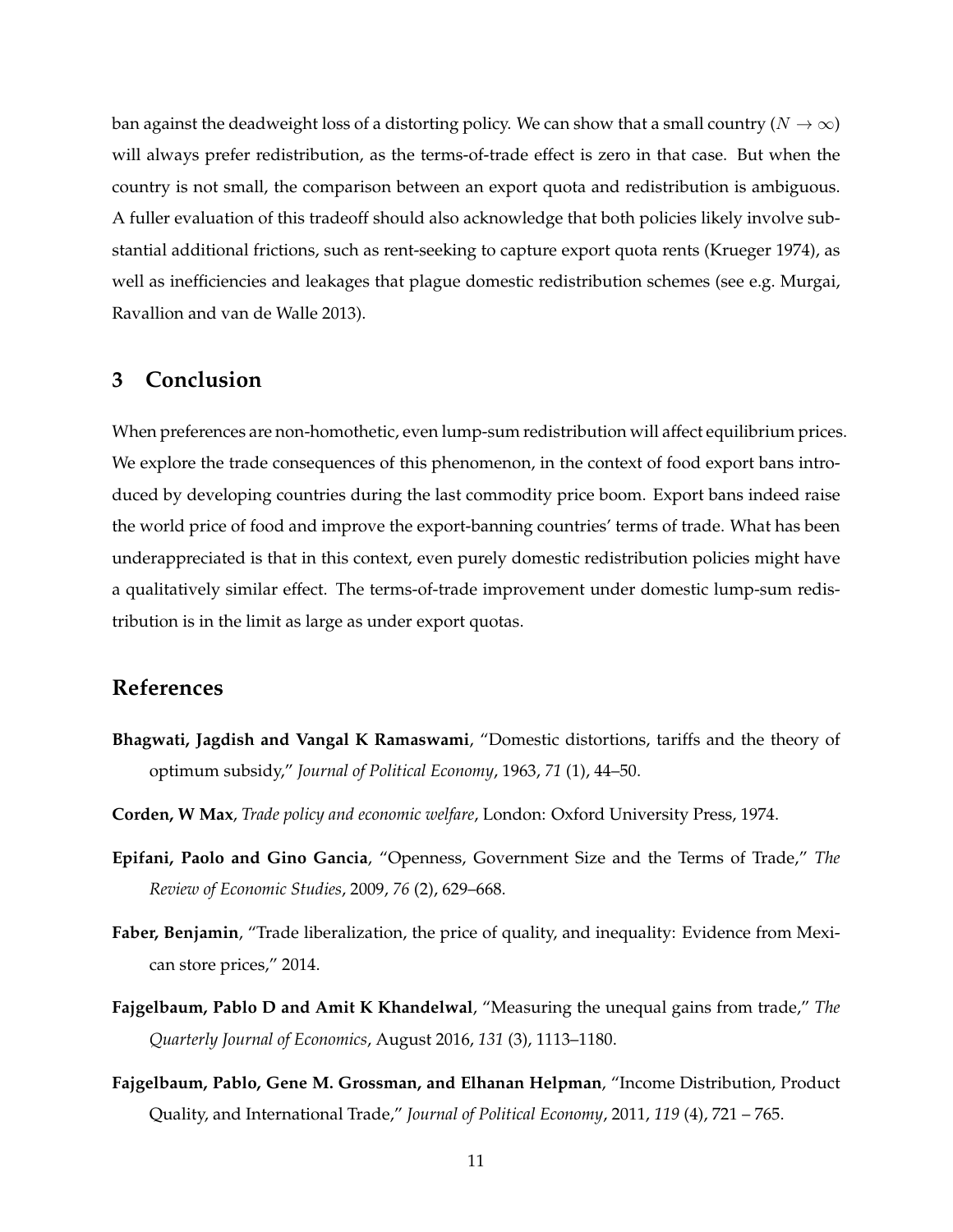ban against the deadweight loss of a distorting policy. We can show that a small country ( $N \to \infty$ ) will always prefer redistribution, as the terms-of-trade effect is zero in that case. But when the country is not small, the comparison between an export quota and redistribution is ambiguous. A fuller evaluation of this tradeoff should also acknowledge that both policies likely involve substantial additional frictions, such as rent-seeking to capture export quota rents (Krueger 1974), as well as inefficiencies and leakages that plague domestic redistribution schemes (see e.g. Murgai, Ravallion and van de Walle 2013).

# **3 Conclusion**

When preferences are non-homothetic, even lump-sum redistribution will affect equilibrium prices. We explore the trade consequences of this phenomenon, in the context of food export bans introduced by developing countries during the last commodity price boom. Export bans indeed raise the world price of food and improve the export-banning countries' terms of trade. What has been underappreciated is that in this context, even purely domestic redistribution policies might have a qualitatively similar effect. The terms-of-trade improvement under domestic lump-sum redistribution is in the limit as large as under export quotas.

# **References**

- **Bhagwati, Jagdish and Vangal K Ramaswami**, "Domestic distortions, tariffs and the theory of optimum subsidy," *Journal of Political Economy*, 1963, *71* (1), 44–50.
- **Corden, W Max**, *Trade policy and economic welfare*, London: Oxford University Press, 1974.
- **Epifani, Paolo and Gino Gancia**, "Openness, Government Size and the Terms of Trade," *The Review of Economic Studies*, 2009, *76* (2), 629–668.
- **Faber, Benjamin**, "Trade liberalization, the price of quality, and inequality: Evidence from Mexican store prices," 2014.
- **Fajgelbaum, Pablo D and Amit K Khandelwal**, "Measuring the unequal gains from trade," *The Quarterly Journal of Economics*, August 2016, *131* (3), 1113–1180.
- **Fajgelbaum, Pablo, Gene M. Grossman, and Elhanan Helpman**, "Income Distribution, Product Quality, and International Trade," *Journal of Political Economy*, 2011, *119* (4), 721 – 765.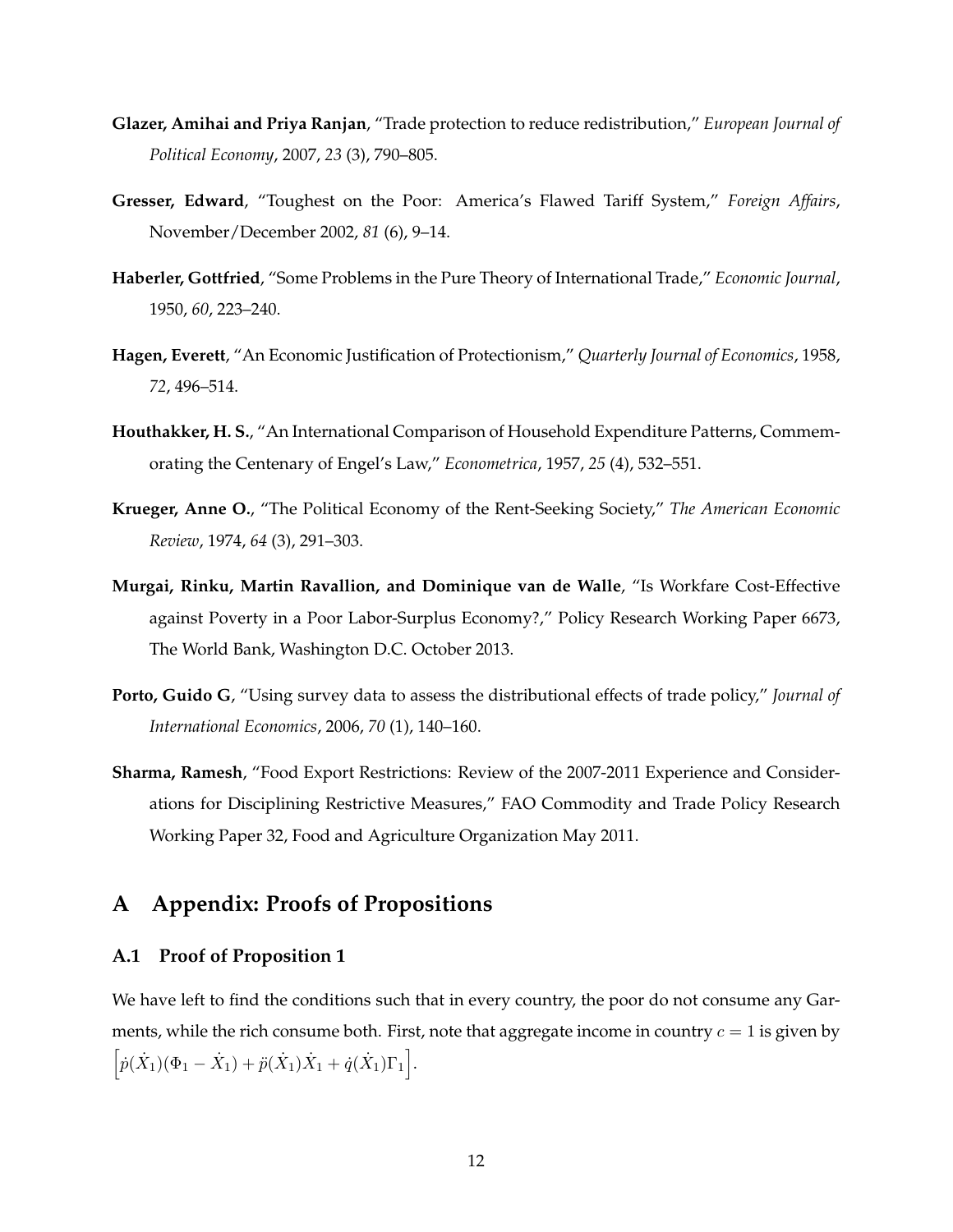- **Glazer, Amihai and Priya Ranjan**, "Trade protection to reduce redistribution," *European Journal of Political Economy*, 2007, *23* (3), 790–805.
- **Gresser, Edward**, "Toughest on the Poor: America's Flawed Tariff System," *Foreign Affairs*, November/December 2002, *81* (6), 9–14.
- **Haberler, Gottfried**, "Some Problems in the Pure Theory of International Trade," *Economic Journal*, 1950, *60*, 223–240.
- **Hagen, Everett**, "An Economic Justification of Protectionism," *Quarterly Journal of Economics*, 1958, *72*, 496–514.
- **Houthakker, H. S.**, "An International Comparison of Household Expenditure Patterns, Commemorating the Centenary of Engel's Law," *Econometrica*, 1957, *25* (4), 532–551.
- **Krueger, Anne O.**, "The Political Economy of the Rent-Seeking Society," *The American Economic Review*, 1974, *64* (3), 291–303.
- **Murgai, Rinku, Martin Ravallion, and Dominique van de Walle**, "Is Workfare Cost-Effective against Poverty in a Poor Labor-Surplus Economy?," Policy Research Working Paper 6673, The World Bank, Washington D.C. October 2013.
- **Porto, Guido G**, "Using survey data to assess the distributional effects of trade policy," *Journal of International Economics*, 2006, *70* (1), 140–160.
- **Sharma, Ramesh**, "Food Export Restrictions: Review of the 2007-2011 Experience and Considerations for Disciplining Restrictive Measures," FAO Commodity and Trade Policy Research Working Paper 32, Food and Agriculture Organization May 2011.

# **A Appendix: Proofs of Propositions**

#### **A.1 Proof of Proposition 1**

We have left to find the conditions such that in every country, the poor do not consume any Garments, while the rich consume both. First, note that aggregate income in country  $c = 1$  is given by  $\left[ \dot{p}(\dot{X}_1)(\Phi_1 - \dot{X}_1) + \ddot{p}(\dot{X}_1)\dot{X}_1 + \dot{q}(\dot{X}_1)\Gamma_1 \right].$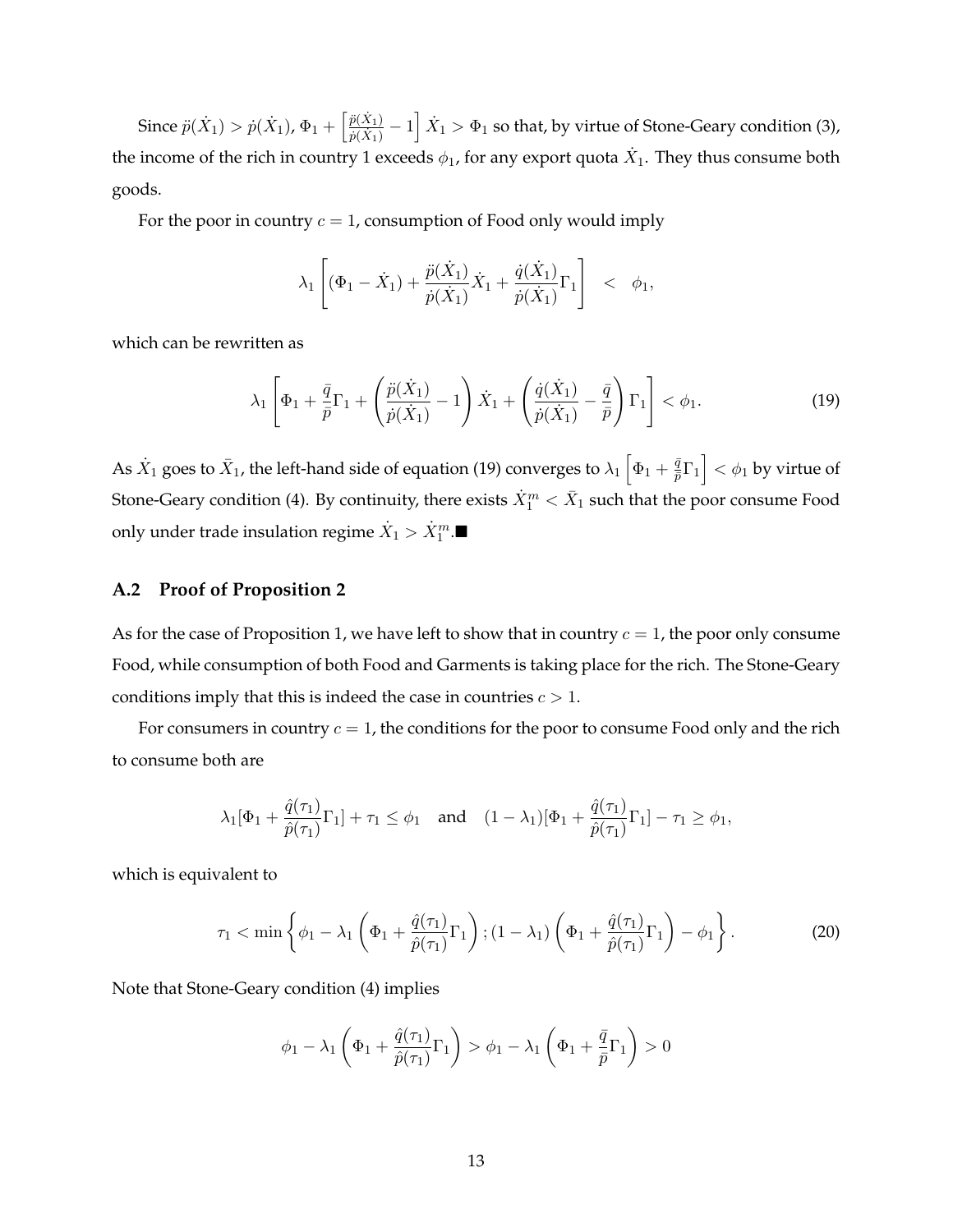Since  $\ddot{p}(\dot{X}_1) > \dot{p}(\dot{X}_1)$ ,  $\Phi_1 + \left[\frac{\ddot{p}(\dot{X}_1)}{\dot{p}(\dot{X}_1)}\right]$  $\frac{\ddot{p}(\dot{X}_1)}{\dot{p}(\dot{X}_1)}-1\Big]\,\dot{X}_1 > \Phi_1$  so that, by virtue of Stone-Geary condition (3), the income of the rich in country 1 exceeds  $\phi_1$ , for any export quota  $\dot{X}_1$ . They thus consume both goods.

For the poor in country  $c = 1$ , consumption of Food only would imply

$$
\lambda_1 \left[ (\Phi_1 - \dot{X}_1) + \frac{\ddot{p}(\dot{X}_1)}{\dot{p}(\dot{X}_1)} \dot{X}_1 + \frac{\dot{q}(\dot{X}_1)}{\dot{p}(\dot{X}_1)} \Gamma_1 \right] < \phi_1,
$$

which can be rewritten as

$$
\lambda_1 \left[ \Phi_1 + \frac{\bar{q}}{\bar{p}} \Gamma_1 + \left( \frac{\ddot{p}(\dot{X}_1)}{\dot{p}(\dot{X}_1)} - 1 \right) \dot{X}_1 + \left( \frac{\dot{q}(\dot{X}_1)}{\dot{p}(\dot{X}_1)} - \frac{\bar{q}}{\bar{p}} \right) \Gamma_1 \right] < \phi_1.
$$
 (19)

As  $\dot{X}_1$  goes to  $\bar{X}_1$ , the left-hand side of equation (19) converges to  $\lambda_1 \left[ \Phi_1 + \frac{\bar{q}}{\bar{p}} \right]$  $\left\lfloor \frac{\bar{q}}{\bar{p}} \Gamma_1 \right\rfloor < \phi_1$  by virtue of Stone-Geary condition (4). By continuity, there exists  $\dot{X}_1^m<\bar{X}_1$  such that the poor consume Food only under trade insulation regime  $\dot{X}_{1} > \dot{X}_{1}^{m}.$ 

#### **A.2 Proof of Proposition 2**

As for the case of Proposition 1, we have left to show that in country  $c = 1$ , the poor only consume Food, while consumption of both Food and Garments is taking place for the rich. The Stone-Geary conditions imply that this is indeed the case in countries  $c > 1$ .

For consumers in country  $c = 1$ , the conditions for the poor to consume Food only and the rich to consume both are

$$
\lambda_1[\Phi_1+\frac{\hat{q}(\tau_1)}{\hat{p}(\tau_1)}\Gamma_1]+\tau_1\leq\phi_1\quad\text{and}\quad(1-\lambda_1)[\Phi_1+\frac{\hat{q}(\tau_1)}{\hat{p}(\tau_1)}\Gamma_1]-\tau_1\geq\phi_1,
$$

which is equivalent to

$$
\tau_1 < \min\left\{\phi_1 - \lambda_1 \left(\Phi_1 + \frac{\hat{q}(\tau_1)}{\hat{p}(\tau_1)}\Gamma_1\right); (1 - \lambda_1) \left(\Phi_1 + \frac{\hat{q}(\tau_1)}{\hat{p}(\tau_1)}\Gamma_1\right) - \phi_1\right\}.
$$
\n<sup>(20)</sup>

Note that Stone-Geary condition (4) implies

$$
\phi_1 - \lambda_1 \left( \Phi_1 + \frac{\hat{q}(\tau_1)}{\hat{p}(\tau_1)} \Gamma_1 \right) > \phi_1 - \lambda_1 \left( \Phi_1 + \frac{\bar{q}}{\bar{p}} \Gamma_1 \right) > 0
$$